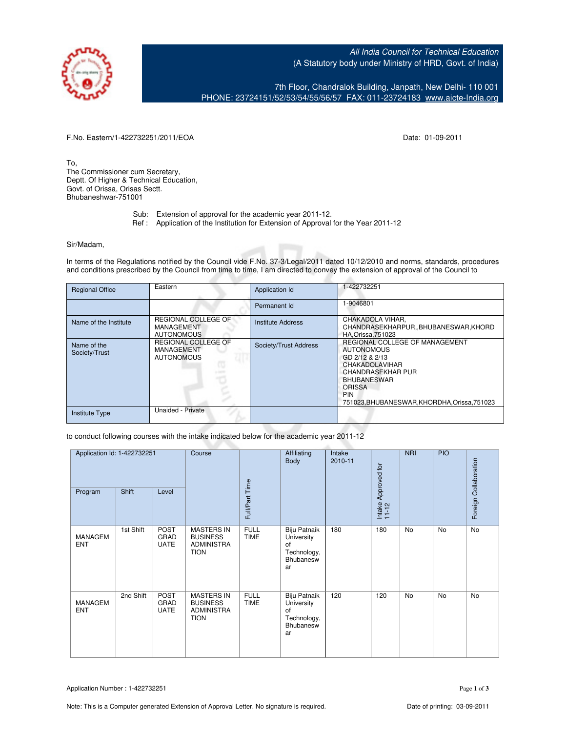

All India Council for Technical Education (A Statutory body under Ministry of HRD, Govt. of India)

7th Floor, Chandralok Building, Janpath, New Delhi- 110 001 PHONE: 23724151/52/53/54/55/56/57 FAX: 011-23724183 [www.aicte-India.org](http://www.aicte-India.org)

F.No. Eastern/1-422732251/2011/EOA Date: 01-09-2011

To, The Commissioner cum Secretary, Deptt. Of Higher & Technical Education, Govt. of Orissa, Orisas Sectt. Bhubaneshwar-751001

- Sub: Extension of approval for the academic year 2011-12.
- Ref : Application of the Institution for Extension of Approval for the Year 2011-12

## Sir/Madam,

In terms of the Regulations notified by the Council vide F.No. 37-3/Legal/2011 dated 10/12/2010 and norms, standards, procedures and conditions prescribed by the Council from time to time, I am directed to convey the extension of approval of the Council to

| <b>Regional Office</b>       | Eastern                                                | Application Id           | 1-422732251                                                                                                                                                                                                                     |
|------------------------------|--------------------------------------------------------|--------------------------|---------------------------------------------------------------------------------------------------------------------------------------------------------------------------------------------------------------------------------|
|                              |                                                        | Permanent Id             | 1-9046801                                                                                                                                                                                                                       |
| Name of the Institute        | REGIONAL COLLEGE OF<br>MANAGEMENT<br><b>AUTONOMOUS</b> | <b>Institute Address</b> | CHAKADOLA VIHAR,<br>CHANDRASEKHARPUR, BHUBANESWAR, KHORD<br><b>HA.Orissa.751023</b>                                                                                                                                             |
| Name of the<br>Society/Trust | REGIONAL COLLEGE OF<br>MANAGEMENT<br><b>AUTONOMOUS</b> | Society/Trust Address    | REGIONAL COLLEGE OF MANAGEMENT<br><b>AUTONOMOUS</b><br>GD 2/12 & 2/13<br><b>CHAKADOLAVIHAR</b><br><b>CHANDRASEKHAR PUR</b><br><b>BHUBANESWAR</b><br><b>ORISSA</b><br><b>PIN</b><br>751023, BHUBANESWAR, KHORDHA, Orissa, 751023 |
| <b>Institute Type</b>        | Unaided - Private                                      |                          |                                                                                                                                                                                                                                 |

to conduct following courses with the intake indicated below for the academic year 2011-12

| Application Id: 1-422732251<br>Shift<br>Program<br>Level |           | Course                             |                                                                          | Affiliating<br>Body        | Intake<br>2010-11                                                  | Intake Approved for<br>11-12 | <b>NRI</b> | PIO       | Foreign Collaboration |           |
|----------------------------------------------------------|-----------|------------------------------------|--------------------------------------------------------------------------|----------------------------|--------------------------------------------------------------------|------------------------------|------------|-----------|-----------------------|-----------|
|                                                          |           |                                    |                                                                          | Full/Part Time             |                                                                    |                              |            |           |                       |           |
| MANAGEM<br><b>ENT</b>                                    | 1st Shift | <b>POST</b><br>GRAD<br><b>UATE</b> | <b>MASTERS IN</b><br><b>BUSINESS</b><br><b>ADMINISTRA</b><br><b>TION</b> | <b>FULL</b><br><b>TIME</b> | Biju Patnaik<br>University<br>of<br>Technology,<br>Bhubanesw<br>ar | 180                          | 180        | <b>No</b> | <b>No</b>             | No        |
| <b>MANAGEM</b><br><b>ENT</b>                             | 2nd Shift | <b>POST</b><br>GRAD<br><b>UATE</b> | <b>MASTERS IN</b><br><b>BUSINESS</b><br><b>ADMINISTRA</b><br><b>TION</b> | <b>FULL</b><br><b>TIME</b> | Biju Patnaik<br>University<br>of<br>Technology,<br>Bhubanesw<br>ar | 120                          | 120        | <b>No</b> | No                    | <b>No</b> |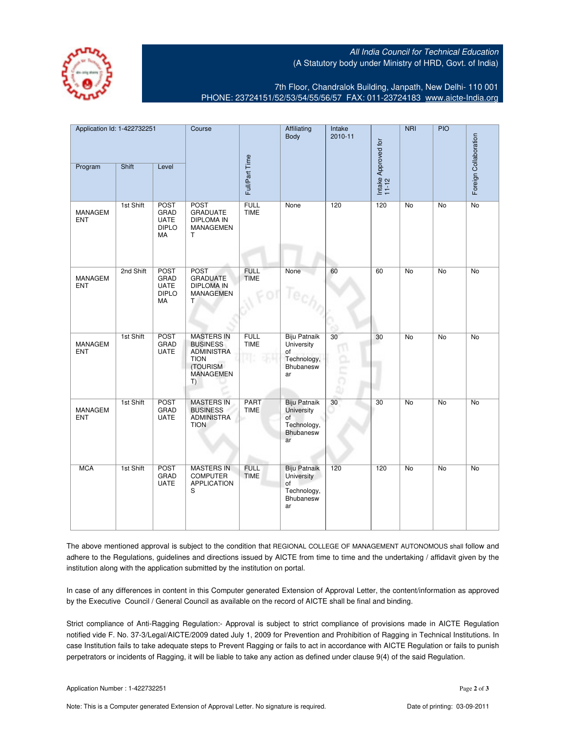All India Council for Technical Education (A Statutory body under Ministry of HRD, Govt. of India)



7th Floor, Chandralok Building, Janpath, New Delhi- 110 001 PHONE: 23724151/52/53/54/55/56/57 FAX: 011-23724183 [www.aicte-India.org](http://www.aicte-India.org)

| Application Id: 1-422732251  |           | Course                                                   |                                                                                                                | Affiliating<br>Body               | Intake<br>2010-11                                                         |         | NRI                          | PIO             |                 |                       |
|------------------------------|-----------|----------------------------------------------------------|----------------------------------------------------------------------------------------------------------------|-----------------------------------|---------------------------------------------------------------------------|---------|------------------------------|-----------------|-----------------|-----------------------|
| Program                      | Shift     | Level                                                    |                                                                                                                | Full/Part Time                    |                                                                           |         | Intake Approved for<br>11-12 |                 |                 | Foreign Collaboration |
| <b>MANAGEM</b><br><b>ENT</b> | 1st Shift | <b>POST</b><br>GRAD<br><b>UATE</b><br><b>DIPLO</b><br>MA | <b>POST</b><br><b>GRADUATE</b><br><b>DIPLOMA IN</b><br><b>MANAGEMEN</b><br>$\mathsf{T}$                        | <b>FULL</b><br><b>TIME</b>        | None                                                                      | 120     | 120                          | No              | No              | No                    |
| <b>MANAGEM</b><br><b>ENT</b> | 2nd Shift | <b>POST</b><br>GRAD<br><b>UATE</b><br><b>DIPLO</b><br>МA | <b>POST</b><br><b>GRADUATE</b><br><b>DIPLOMA IN</b><br><b>MANAGEMEN</b><br>T.                                  | <b>FULL</b><br>TIME               | None                                                                      | 60      | 60                           | $\overline{No}$ | $\overline{No}$ | $\overline{No}$       |
| <b>MANAGEM</b><br><b>ENT</b> | 1st Shift | <b>POST</b><br>GRAD<br><b>UATE</b>                       | <b>MASTERS IN</b><br><b>BUSINESS</b><br><b>ADMINISTRA</b><br><b>TION</b><br>(TOURISM<br><b>MANAGEMEN</b><br>T) | <b>FULL</b><br><b>TIME</b><br>ar: | Biju Patnaik<br>University<br>of<br>Technology,<br>Bhubanesw<br>ar        | 30<br>π | 30                           | <b>No</b>       | <b>No</b>       | <b>No</b>             |
| <b>MANAGEM</b><br><b>ENT</b> | 1st Shift | <b>POST</b><br>GRAD<br><b>UATE</b>                       | <b>MASTERS IN</b><br><b>BUSINESS</b><br><b>ADMINISTRA</b><br><b>TION</b>                                       | <b>PART</b><br><b>TIME</b>        | <b>Biju Patnaik</b><br>University<br>of<br>Technology,<br>Bhubanesw<br>ar | $30\,$  | 30                           | No              | No              | No                    |
| <b>MCA</b>                   | 1st Shift | <b>POST</b><br>GRAD<br><b>UATE</b>                       | <b>MASTERS IN</b><br><b>COMPUTER</b><br><b>APPLICATION</b><br>S                                                | <b>FULL</b><br><b>TIME</b>        | <b>Biju Patnaik</b><br>University<br>of<br>Technology,<br>Bhubanesw<br>ar | 120     | 120                          | <b>No</b>       | <b>No</b>       | No                    |

The above mentioned approval is subject to the condition that REGIONAL COLLEGE OF MANAGEMENT AUTONOMOUS shall follow and adhere to the Regulations, guidelines and directions issued by AICTE from time to time and the undertaking / affidavit given by the institution along with the application submitted by the institution on portal.

In case of any differences in content in this Computer generated Extension of Approval Letter, the content/information as approved by the Executive Council / General Council as available on the record of AICTE shall be final and binding.

Strict compliance of Anti-Ragging Regulation:- Approval is subject to strict compliance of provisions made in AICTE Regulation notified vide F. No. 37-3/Legal/AICTE/2009 dated July 1, 2009 for Prevention and Prohibition of Ragging in Technical Institutions. In case Institution fails to take adequate steps to Prevent Ragging or fails to act in accordance with AICTE Regulation or fails to punish perpetrators or incidents of Ragging, it will be liable to take any action as defined under clause 9(4) of the said Regulation.